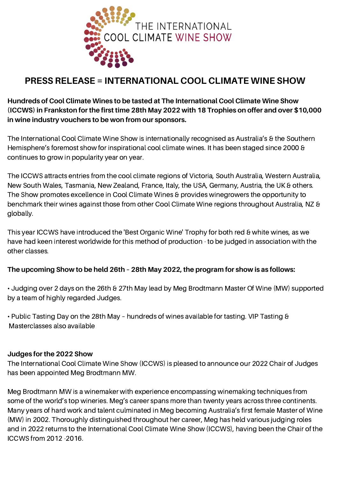

# **PRESS RELEASE = INTERNATIONAL COOL CLIMATE WINE SHOW**

**Hundreds of Cool Climate Wines to be tasted at The International Cool Climate Wine Show (ICCWS) in Frankston for the first time 28th May 2022 with 18 Trophies on offer and over \$10,000 in wine industry vouchers to be won from our sponsors.**

The International Cool Climate Wine Show is internationally recognised as Australia's & the Southern Hemisphere's foremost show for inspirational cool climate wines. It has been staged since 2000 & continues to grow in popularity year on year.

The ICCWS attracts entries from the cool climate regions of Victoria, South Australia, Western Australia, New South Wales, Tasmania, New Zealand, France, Italy, the USA, Germany, Austria, the UK & others. The Show promotes excellence in Cool Climate Wines & provides winegrowers the opportunity to benchmark their wines against those from other Cool Climate Wine regions throughout Australia, NZ & globally.

This year ICCWS have introduced the 'Best Organic Wine' Trophy for both red & white wines, as we have had keen interest worldwide for this method of production - to be judged in association with the other classes.

#### **The upcoming Show to be held 26th – 28th May 2022, the program for show is as follows:**

• Judging over 2 days on the 26th & 27th May lead by Meg Brodtmann Master Of Wine (MW) supported by a team of highly regarded Judges.

• Public Tasting Day on the 28th May – hundreds of wines available for tasting. VIP Tasting & Masterclasses also available

#### **Judges for the 2022 Show**

The International Cool Climate Wine Show (ICCWS) is pleased to announce our 2022 Chair of Judges has been appointed Meg Brodtmann MW.

Meg Brodtmann MW is a winemaker with experience encompassing winemaking techniques from some of the world's top wineries. Meg's career spans more than twenty years across three continents. Many years of hard work and talent culminated in Meg becoming Australia's first female Master of Wine (MW) in 2002. Thoroughly distinguished throughout her career, Meg has held various judging roles and in 2022 returns to the International Cool Climate Wine Show (ICCWS), having been the Chair of the ICCWS from 2012 -2016.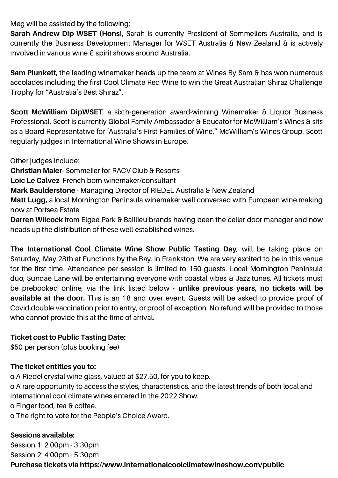Meg will be assisted by the following:

**Sarah Andrew Dip WSET (Hons**), Sarah is currently President of Sommeliers Australia, and is currently the Business Development Manager for WSET Australia & New Zealand & is actively involved in various wine & spirit shows around Australia.

**Sam Plunkett,** the leading winemaker heads up the team at Wines By Sam & has won numerous accolades including the first Cool Climate Red Wine to win the Great Australian Shiraz Challenge Trophy for "Australia's Best Shiraz".

**Scott McWilliam DipWSET**, a sixth-generation award-winning Winemaker & Liquor Business Professional. Scott is currently Global Family Ambassador & Educator for McWilliam's Wines & sits as a Board Representative for 'Australia's First Families of Wine." McWilliam's Wines Group. Scott regularly judges in International Wine Shows in Europe.

Other judges include:

**Christian Maier-** Sommelier for RACV Club & Resorts

**Loic Le Calvez** French born winemaker/consultant

**Mark Baulderstone** - Managing Director of RIEDEL Australia & New Zealand

**Matt Lugg,** a local Mornington Peninsula winemaker well conversed with European wine making now at Portsea Estate.

**Darren Wilcock** from Elgee Park & Baillieu brands having been the cellar door manager and now heads up the distribution of these well-established wines.

**The International Cool Climate Wine Show Public Tasting Day**, will be taking place on Saturday, May 28th at Functions by the Bay, in Frankston. We are very excited to be in this venue for the first time. Attendance per session is limited to 150 guests. Local Mornington Peninsula duo, Sundae Lane will be entertaining everyone with coastal vibes & Jazz tunes. All tickets must be prebooked online, via the link listed below - **unlike previous years, no tickets will be available at the door.** This is an 18 and over event. Guests will be asked to provide proof of Covid double vaccination prior to entry, or proof of exception. No refund will be provided to those who cannot provide this at the time of arrival.

### **Ticket cost to Public Tasting Date:**

\$50 per person (plus booking fee)

### **The ticket entitles you to:**

o A Riedel crystal wine glass, valued at \$27.50, for you to keep.

o A rare opportunity to access the styles, characteristics, and the latest trends of both local and international cool climate wines entered in the 2022 Show.

o Finger food, tea & coffee.

o The right to vote for the People's Choice Award.

### **Sessions available:**

Session 1: 2.00pm - 3.30pm Session 2: 4:00pm - 5:30pm **Purchase tickets via https://www.internationalcoolclimatewineshow.com/public**